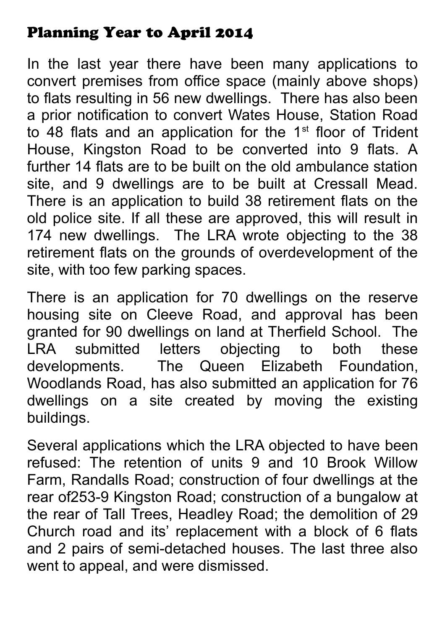## Planning Year to April 2014

In the last year there have been many applications to convert premises from office space (mainly above shops) to flats resulting in 56 new dwellings. There has also been a prior notification to convert Wates House, Station Road to 48 flats and an application for the  $1<sup>st</sup>$  floor of Trident House, Kingston Road to be converted into 9 flats. A further 14 flats are to be built on the old ambulance station site, and 9 dwellings are to be built at Cressall Mead. There is an application to build 38 retirement flats on the old police site. If all these are approved, this will result in 174 new dwellings. The LRA wrote objecting to the 38 retirement flats on the grounds of overdevelopment of the site, with too few parking spaces.

There is an application for 70 dwellings on the reserve housing site on Cleeve Road, and approval has been granted for 90 dwellings on land at Therfield School. The LRA submitted letters objecting to both these developments. The Queen Elizabeth Foundation, Woodlands Road, has also submitted an application for 76 dwellings on a site created by moving the existing buildings.

Several applications which the LRA objected to have been refused: The retention of units 9 and 10 Brook Willow Farm, Randalls Road; construction of four dwellings at the rear of253-9 Kingston Road; construction of a bungalow at the rear of Tall Trees, Headley Road; the demolition of 29 Church road and its' replacement with a block of 6 flats and 2 pairs of semi-detached houses. The last three also went to appeal, and were dismissed.